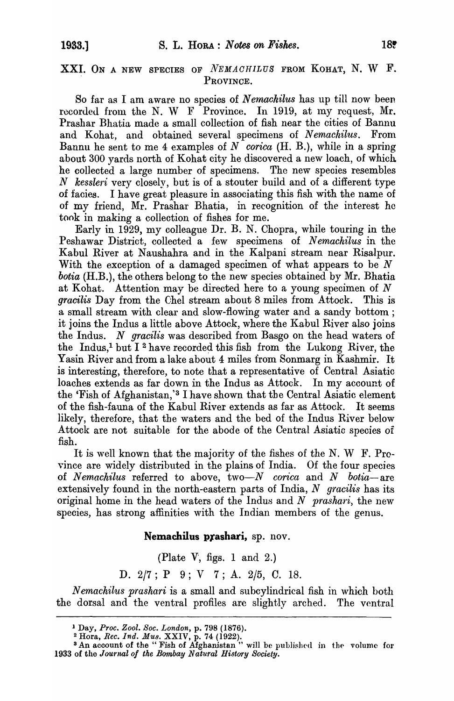## XXI. ON A NEW SPECIES OF *NEMACHILUS* FROM KOHAT, N. W F. PROVINCE.

So far as I am aware no species of *Nernaohilus* has up till now been recorded from the N. W F Province. In 1919, at my request, Mr. Prashar Bhatia made a small collection of fish near the cities of Bannu and Kohat, and obtained several specimens of *Nemachilus.* From Bannu he sent to me 4 examples of *N corica* (H. B.), while in a spring about 300 yards north of Kohat city he discovered a new loach, of which he collected a large number of specimens. The new speoies resembles *N kessleri* very closely, but is of a stouter build and of a different type of facies. I have great pleasure in associating this fish with the name of of my friend, Mr. Prashar Bhatia, in recognition of the interest he took in making a collection of fishes for me.

Early in 1929, my colleague Dr. B. N. Chopra, while touring in the Peshawar District, collected a few specimens of *Nemachilus* in the Kabul River at Naushahra and in the Kalpani stream near Risalpur. With the exception of a damaged specimen of what appears to be *N botia* (H.B.), the others belong to the new species obtained by Mr. Bhatia at Kohat. Attention may be directed here to a young specimen of *N gracilis* Day from the Chel stream about 8 miles from Attock. This is a small stream with clear and slow-flowing water and a sandy bottom; it joins the Indus a little above Attock, where the Kabul River also joins the Indus. *N gracilis* was desoribed from Basgo on the head waters of the Indus,<sup>1</sup> but I<sup>2</sup> have recorded this fish from the Lukong River, the Yasin River and from a lake about 4 miles from Sonmarg in Kashmir. It is interesting, therefore, to note that a representative of Central Asiatic loaches extends as far down in the Indus as Attock. In my account of the 'Fish of Afghanistan,'3 I have shown that the Central Asiatic element of the fish-fauna of the Kabul River extends as far as Attock. It seems likely, therefore, that the waters and the bed of the Indus River below Attock are not suitable for the abode of the Central Asiatic species of fish.

It is well known that the majority of the fishes of the N. W  $F.$  Province are widely distributed in the plains of India. Of the four species of *Nemachilus* referred to above, *two-N corica* and *N botia-are*  extensively found in the north-eastern parts of India, *N gracilis* has its original home in the head waters of the Indus and *N prashari,* the new species, has strong affinities with the Indian members of the genus.

## Nemachilus prashari, sp. nov.

(Plate  $V$ , figs. 1 and 2.)

D. 2/7; P 9; V 7; A. 2/5, C. 18.

*N emachilus prashari* is a small and subcylindrical fish in which both the dorsal and the ventral profiles are slightly arched. The ventral

<sup>1</sup>Day, *Proc. Zool. Soc. London,* p. 798 (1876).

<sup>2</sup>Hora, *Ree. Ind. Mus.* XXIV, p. 74 (1922).

<sup>&</sup>lt;sup>3</sup> An account of the "Fish of Afghanistan" will be published in the volume for 1933 of the *Journal of tke Bombay Natural History Society.*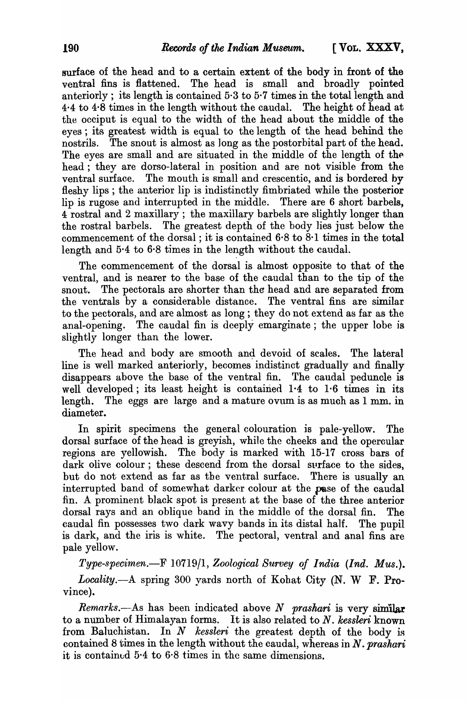surface of the head and to a certain extent of the body in front of the ventral fins is flattened. The head is small and broadly pointed anteriorly; its length is contained 5·3 to 5·7 times in the total length and 4·4 to 4·8 times in the length without the caudal. The height of head at the occiput is equal to the width of the head about the middle of the eyes; its greatest width is equal to the length of the head behind the nostrils. The snout is almost as long as the postorbital part of the head. The eyes are small and are situated in the middle of the length of the head; they are dorso-lateral in position and are not visible from the ventral surface. The mouth is small and crescentic, and is bordered by fleshy lips; the anterior lip is indistinctly fimbriated while the posterior lip is rugose and interrupted in the middle. There are 6 short barbels, 4 rostral and 2 maxillary; the maxillary barbels are slightly longer than the rostral barbels. The greatest depth of the body lies just below the commencement of the dorsal; it is contained 6·8 to 8·1 times in the total length and 5·4 to 6·8 times in the length without the caudal.

The commencement of the dorsal is almost opposite to that of the ventral, and is nearer to the base of the caudal than to the tip of the snout. The pectorals are shorter than the head and are separated from the ventrals by a considerable distance. The ventral fins are similar to the pectorals, and are almost as long ; they do not extend as far as the anal-opening. The caudal fin is deeply emarginate ; the upper lobe is slightly longer than the lower.

The head and body are smooth and devoid of scales. The lateral line is well marked anteriorly, becomes indistinct gradually and finally disappears above the base of the ventral fin. The caudal peduncle is well developed; its least height is contained  $1.4$  to  $1.6$  times in its length. The eggs are large and a mature ovum is as much as 1 mm. in diameter.

In spirit specimens the general colouration is pale-yellow. The dorsal surface of the head is greyish, while the cheeks and the opercular regions are yellowish. The body is marked with 15-17 cross bars of dark olive colour; these descend from the dorsal surface to the sides, but do not extend as far as the ventral surface. There is usually an interrupted band of somewhat darker colour at the pase of the caudal fin. A prominent black spot is present at the base of the three anterior dorsal rays and an oblique band in the middle of the dorsal fin. The caudal fin possesses two dark wavy bands in its distal half. The pupil is dark, and the iris is white. The pectoral, ventral and anal fins are pale yellow.

*Type-specimen.-F* 10719/1, *Zoological Survey of India (Ind. Mus.). Locality.-A* spring 300 yards north of Kohat City (N. W F. Province).

*Remarks.*—As has been indicated above *N prashari* is very similar to a number of Himalayan forms. It is also related to N. kessleri known from Baluchistan. In *N* kessleri the greatest depth of the body is contained 8 times in the length without the caudal, whereas in *N. prashari*  it is contained  $5.4$  to  $6.8$  times in the same dimensions.